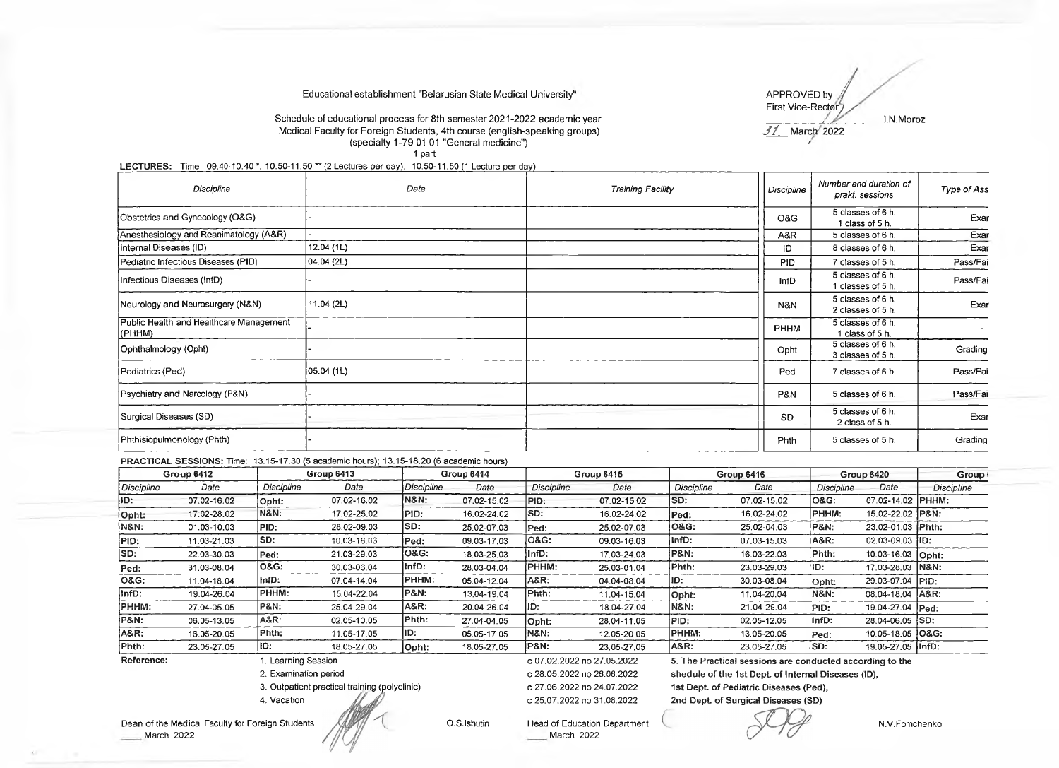### Educational establishment "Belarusian State Medical University'

/ APPROVED by First Vice-Rector<sub>7</sub>

#### Schedule of educational process for 8th semester 2021-2022 academic year \_\_\_\_\_\_\_\_\_\_\_\_\_"■ \_\_\_\_\_\_\_\_ I.N. Moroz Medical Faculty for Foreign Students, 4th course (english-speaking groups) (specialty 1-79 01 01 "General medicine") *•* 1 part

## LECTURES: Time 09.40-10.40 \*, 10.50-11.50 \*\* (2 Lectures per day), 10.50-11.50 (1 Lecture per day)

| Discipline                                        | Date       | <b>Training Facility</b> | Discipline  | Number and duration of<br>prakt. sessions | Type of Ass |
|---------------------------------------------------|------------|--------------------------|-------------|-------------------------------------------|-------------|
| Obstetrics and Gynecology (O&G)                   |            |                          | O&G         | 5 classes of 6 h.<br>1 class of 5 h.      | Exar        |
| Anesthesiology and Reanimatology (A&R)            |            |                          | A&R         | 5 classes of 6 h.                         | Exar        |
| Internal Diseases (ID)                            | 12.04 (1L) |                          | ID.         | 8 classes of 6 h.                         | Exar        |
| Pediatric Infectious Diseases (PID)               | 04.04 (2L) |                          | PID.        | 7 classes of 5 h.                         | Pass/Fai    |
| Infectious Diseases (InfD)                        |            |                          | <b>InfD</b> | 5 classes of 6 h.<br>1 classes of 5 h.    | Pass/Fai    |
| Neurology and Neurosurgery (N&N)                  | 11.04(2L)  |                          | N&N         | 5 classes of 6 h.<br>2 classes of 5 h.    | Exar        |
| Public Health and Healthcare Management<br>(PHHM) |            |                          | <b>PHHM</b> | 5 classes of 6 h.<br>1 class of 5 h.      |             |
| Ophthalmology (Opht)                              |            |                          | Opht        | 5 classes of 6 h.<br>3 classes of 5 h.    | Grading     |
| Pediatrics (Ped)                                  | 05.04(1L)  |                          | Ped         | 7 classes of 6 h.                         | Pass/Fai    |
| (Psychiatry and Narcology (P&N)                   |            |                          | P&N         | 5 classes of 6 h.                         | Pass/Fai    |
| Surgical Diseases (SD)                            |            |                          | <b>SD</b>   | 5 classes of 6 h.<br>2 class of 5 h.      | Exar        |
| Phthisiopulmonology (Phth)                        |            |                          | <b>Phth</b> | 5 classes of 5 h.                         | Grading     |

PRACTICAL SESSIONS: Time: 13.15-17.30 (5 academic hours); 13,15-18,20 (6 academic hours)

| Group 6412      |                    | Group 6413            |             | Group 6414        |             | Group 6415                                                                        |             |                                                          | Group 6416  | Group 6420      |                     | Group I           |  |
|-----------------|--------------------|-----------------------|-------------|-------------------|-------------|-----------------------------------------------------------------------------------|-------------|----------------------------------------------------------|-------------|-----------------|---------------------|-------------------|--|
| Discipline      | Date               | Discipline            | Date        | <b>Discipline</b> | Date        | <b>Discipline</b>                                                                 | Date        | Discipline                                               | Date        | Discipline      | Date                | <b>Discipline</b> |  |
| ID:             | 07.02-16.02        | Opht:                 | 07.02-16.02 | <b>N&amp;N:</b>   | 07.02-15.02 | PID:                                                                              | 07.02-15.02 | SD:                                                      | 07.02-15.02 | O&G:            | 07.02-14.02         | PHHM:             |  |
| Opht:           | 17.02-28.02        | <b>N&amp;N:</b>       | 17.02-25.02 | PID:              | 16.02-24.02 | ISD:                                                                              | 16.02-24.02 | Ped:                                                     | 16.02-24.02 | PHHM:           | 15.02-22.02 IP&N:   |                   |  |
| N&N:            | 01.03-10.03        | PID:                  | 28.02-09.03 | ISD:              | 25.02-07.03 | Ped:                                                                              | 25.02-07.03 | <b>O&amp;G:</b>                                          | 25.02-04.03 | iP&N:           | 23.02-01.03 Phth:   |                   |  |
| PID:            | 11.03-21.03        | <b>SD:</b>            | 10.03-18.03 | Ped:              | 09.03-17.03 | O&G:                                                                              | 09.03-16.03 | InfD:                                                    | 07.03-15.03 | A&R:            | $02.03 - 09.03$ ID: |                   |  |
| SD:             | 22.03-30.03        | Ped:                  | 21.03-29.03 | <b>O&amp;G:</b>   | 18.03-25.03 | InfD:                                                                             | 17.03-24.03 | P&N:                                                     | 16.03-22.03 | Phth:           | 10.03-16.03 Opht:   |                   |  |
| Ped:            | 31.03-08.04        | O&G:                  | 30.03-06.04 | linfD:            | 28.03-04.04 | <b>PHHM:</b>                                                                      | 25.03-01.04 | Phth:                                                    | 23.03-29.03 | ID:             | 17.03-28.03   N&N:  |                   |  |
| <b>O&amp;G:</b> | 11.04-18.04        | InfD:                 | 07.04-14.04 | PHHM:             | 05.04-12.04 | A&R:                                                                              | 04.04-08.04 | IID:                                                     | 30.03-08.04 | Opht:           | 29.03-07.04 PID:    |                   |  |
| InfD:           | 19.04-26.04        | PHHM:                 | 15.04-22.04 | <b>P&amp;N:</b>   | 13.04-19.04 | Phth:                                                                             | 11.04-15.04 | Opht:                                                    | 11.04-20.04 | <b>N&amp;N:</b> | 08.04-18.04 A&R:    |                   |  |
| PHHM:           | 27.04-05.05        | <b>P&amp;N:</b>       | 25.04-29.04 | A&R:              | 20.04-26.04 | ID:                                                                               | 18.04-27.04 | N&N:                                                     | 21.04-29.04 | PID:            | 19.04-27.04 Ped:    |                   |  |
| P&N:            | 06.05-13.05        | A&R:                  | 02.05-10.05 | Phth:             | 27.04-04.05 | Opht:                                                                             | 28.04-11.05 | PID:                                                     | 02.05-12.05 | InfD:           | 28.04-06.05 SD:     |                   |  |
| A&R:            | 16.05-20.05        | Phth:                 | 11.05-17.05 | ID:               | 05.05-17.05 | <b>N&amp;N:</b>                                                                   | 12.05-20.05 | PHHM:                                                    | 13.05-20.05 | Ped:            | 10.05-18.05   O&G:  |                   |  |
| Phth:           | 23.05-27.05        | ID:                   | 18.05-27.05 | Opht:             | 18.05-27.05 | P&N:                                                                              | 23 05-27 05 | A&R:                                                     | 23.05-27.05 | SD:             | 19.05-27.05 linfD:  |                   |  |
| Reference:      | . Learning Session |                       |             |                   |             | с 07.02.2022 по 27.05.2022                                                        |             | 5. The Practical sessions are conducted according to the |             |                 |                     |                   |  |
|                 |                    | 2. Examination period |             |                   |             | c 28.05.2022 no 26.06.2022<br>shedule of the 1st Dept. of Internal Diseases (ID), |             |                                                          |             |                 |                     |                   |  |

3. Outpatient practical training (polyclinic)

4. Vacation

C 28.05.2022 no 26.06.2022 c 27.06.2022 no 24.07.2022 c 25.07.2022 no 31.08.2022

shedule of the 1st Dept, of Internal Diseases (ID), 1st Dept, of Pediatric Diseases (Ped), 2nd Dept, of Surgical Diseases (SD)

Dean of the Medical Faculty for Foreign Students **March 2022** 

O.S.Ishutin Head of Education Department

March 2022

N.V.Fomchenko